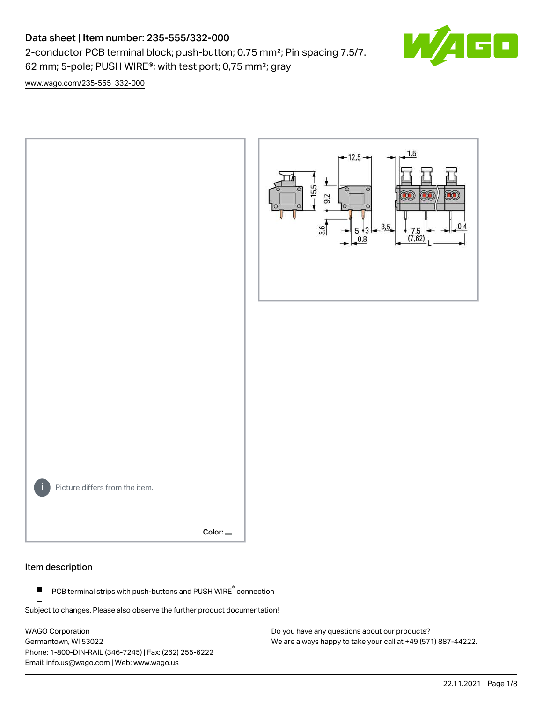# Data sheet | Item number: 235-555/332-000

2-conductor PCB terminal block; push-button; 0.75 mm²; Pin spacing 7.5/7. 62 mm; 5-pole; PUSH WIRE®; with test port; 0,75 mm²; gray



[www.wago.com/235-555\\_332-000](http://www.wago.com/235-555_332-000)



#### Item description

PCB terminal strips with push-buttons and PUSH WIRE<sup>®</sup> connection  $\blacksquare$ 

Subject to changes. Please also observe the further product documentation!

WAGO Corporation Germantown, WI 53022 Phone: 1-800-DIN-RAIL (346-7245) | Fax: (262) 255-6222 Email: info.us@wago.com | Web: www.wago.us

Do you have any questions about our products? We are always happy to take your call at +49 (571) 887-44222.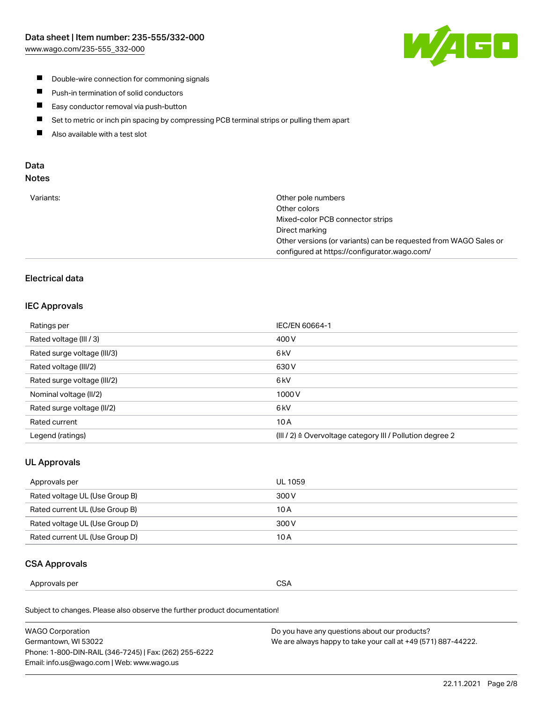

- **Double-wire connection for commoning signals**
- $\blacksquare$ Push-in termination of solid conductors
- Easy conductor removal via push-button  $\blacksquare$
- $\blacksquare$ Set to metric or inch pin spacing by compressing PCB terminal strips or pulling them apart
- $\blacksquare$ Also available with a test slot

### Data Notes

| Variants: | Other pole numbers                                               |
|-----------|------------------------------------------------------------------|
|           | Other colors                                                     |
|           | Mixed-color PCB connector strips                                 |
|           | Direct marking                                                   |
|           | Other versions (or variants) can be requested from WAGO Sales or |
|           | configured at https://configurator.wago.com/                     |

# Electrical data

#### IEC Approvals

| Ratings per                 | IEC/EN 60664-1                                                        |
|-----------------------------|-----------------------------------------------------------------------|
| Rated voltage (III / 3)     | 400 V                                                                 |
| Rated surge voltage (III/3) | 6 <sub>kV</sub>                                                       |
| Rated voltage (III/2)       | 630 V                                                                 |
| Rated surge voltage (III/2) | 6 kV                                                                  |
| Nominal voltage (II/2)      | 1000V                                                                 |
| Rated surge voltage (II/2)  | 6 <sub>kV</sub>                                                       |
| Rated current               | 10A                                                                   |
| Legend (ratings)            | $(III / 2)$ $\triangle$ Overvoltage category III / Pollution degree 2 |

### UL Approvals

| Approvals per                  | UL 1059 |
|--------------------------------|---------|
| Rated voltage UL (Use Group B) | 300 V   |
| Rated current UL (Use Group B) | 10 A    |
| Rated voltage UL (Use Group D) | 300 V   |
| Rated current UL (Use Group D) | 10 A    |

#### CSA Approvals

| per    |               |
|--------|---------------|
| ovais: | $\sim$ $\sim$ |
| Annr   | SΔ            |
|        | vv.           |
|        | ___           |
|        |               |

Subject to changes. Please also observe the further product documentation!

| WAGO Corporation                                       | Do you have any questions about our products?                 |
|--------------------------------------------------------|---------------------------------------------------------------|
| Germantown, WI 53022                                   | We are always happy to take your call at +49 (571) 887-44222. |
| Phone: 1-800-DIN-RAIL (346-7245)   Fax: (262) 255-6222 |                                                               |
| Email: info.us@wago.com   Web: www.wago.us             |                                                               |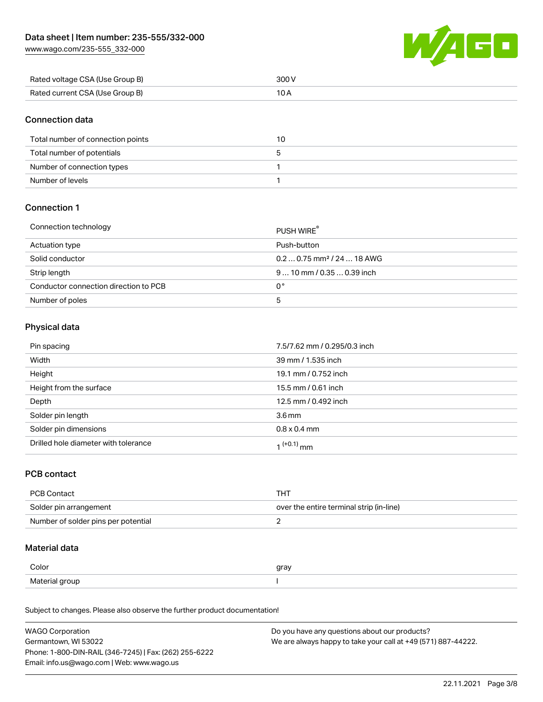[www.wago.com/235-555\\_332-000](http://www.wago.com/235-555_332-000)



| Rated voltage CSA (Use Group B) | 300 V |
|---------------------------------|-------|
| Rated current CSA (Use Group B) |       |

### Connection data

| Total number of connection points | 10 |
|-----------------------------------|----|
| Total number of potentials        |    |
| Number of connection types        |    |
| Number of levels                  |    |

### Connection 1

#### Connection technology PUSH WIRE®

|                                       | <b>PUSH WIRE</b>                       |
|---------------------------------------|----------------------------------------|
| Actuation type                        | Push-button                            |
| Solid conductor                       | $0.20.75$ mm <sup>2</sup> / 24  18 AWG |
| Strip length                          | $910$ mm / 0.35  0.39 inch             |
| Conductor connection direction to PCB | 0°                                     |
| Number of poles                       | ა                                      |

# Physical data

| Pin spacing                          | 7.5/7.62 mm / 0.295/0.3 inch |
|--------------------------------------|------------------------------|
| Width                                | 39 mm / 1.535 inch           |
| Height                               | 19.1 mm / 0.752 inch         |
| Height from the surface              | 15.5 mm / 0.61 inch          |
| Depth                                | 12.5 mm / 0.492 inch         |
| Solder pin length                    | 3.6 <sub>mm</sub>            |
| Solder pin dimensions                | $0.8 \times 0.4$ mm          |
| Drilled hole diameter with tolerance | $1^{(+0.1)}$ mm              |

### PCB contact

| PCB Contact                         | тнт                                      |
|-------------------------------------|------------------------------------------|
| Solder pin arrangement              | over the entire terminal strip (in-line) |
| Number of solder pins per potential |                                          |

### Material data

| Color                 | qrav |
|-----------------------|------|
| Material gro<br>arour |      |

Subject to changes. Please also observe the further product documentation!

| <b>WAGO Corporation</b>                                | Do you have any questions about our products?                 |
|--------------------------------------------------------|---------------------------------------------------------------|
| Germantown, WI 53022                                   | We are always happy to take your call at +49 (571) 887-44222. |
| Phone: 1-800-DIN-RAIL (346-7245)   Fax: (262) 255-6222 |                                                               |
| Email: info.us@wago.com   Web: www.wago.us             |                                                               |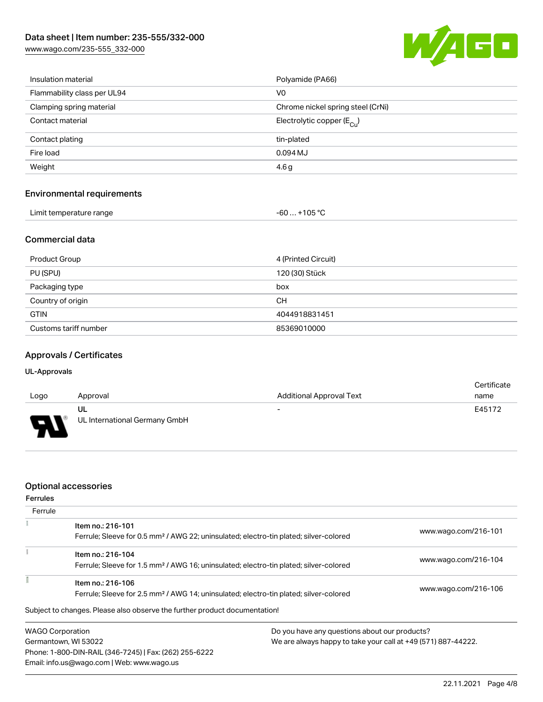[www.wago.com/235-555\\_332-000](http://www.wago.com/235-555_332-000)



| Insulation material               | Polyamide (PA66)                      |  |
|-----------------------------------|---------------------------------------|--|
| Flammability class per UL94       | V0                                    |  |
| Clamping spring material          | Chrome nickel spring steel (CrNi)     |  |
| Contact material                  | Electrolytic copper $(E_{\text{Cl}})$ |  |
| Contact plating                   | tin-plated                            |  |
| Fire load                         | 0.094 MJ                              |  |
| Weight                            | 4.6 <sub>g</sub>                      |  |
|                                   |                                       |  |
| <b>Environmental requirements</b> |                                       |  |

| Limit temperature range | $-60+105 °C$ |
|-------------------------|--------------|
|                         |              |

# Commercial data

| Product Group         | 4 (Printed Circuit) |
|-----------------------|---------------------|
| PU (SPU)              | 120 (30) Stück      |
| Packaging type        | box                 |
| Country of origin     | CН                  |
| <b>GTIN</b>           | 4044918831451       |
| Customs tariff number | 85369010000         |

## Approvals / Certificates

#### UL-Approvals

| Logo     | Approval                            | <b>Additional Approval Text</b> | Certificate<br>name |
|----------|-------------------------------------|---------------------------------|---------------------|
| J<br>. . | UL<br>UL International Germany GmbH | $\overline{\phantom{0}}$        | E45172              |

### Optional accessories

Email: info.us@wago.com | Web: www.wago.us

| <b>Ferrules</b> |                                                                                                   |                                                               |                      |
|-----------------|---------------------------------------------------------------------------------------------------|---------------------------------------------------------------|----------------------|
| Ferrule         |                                                                                                   |                                                               |                      |
|                 | Item no.: 216-101                                                                                 |                                                               | www.wago.com/216-101 |
|                 | Ferrule; Sleeve for 0.5 mm <sup>2</sup> / AWG 22; uninsulated; electro-tin plated; silver-colored |                                                               |                      |
|                 | Item no.: 216-104                                                                                 |                                                               |                      |
|                 | Ferrule; Sleeve for 1.5 mm <sup>2</sup> / AWG 16; uninsulated; electro-tin plated; silver-colored |                                                               | www.wago.com/216-104 |
|                 | Item no.: 216-106                                                                                 |                                                               |                      |
|                 | Ferrule; Sleeve for 2.5 mm <sup>2</sup> / AWG 14; uninsulated; electro-tin plated; silver-colored |                                                               | www.wago.com/216-106 |
|                 | Subject to changes. Please also observe the further product documentation!                        |                                                               |                      |
|                 | <b>WAGO Corporation</b>                                                                           | Do you have any questions about our products?                 |                      |
|                 | Germantown, WI 53022                                                                              | We are always happy to take your call at +49 (571) 887-44222. |                      |
|                 | Phone: 1-800-DIN-RAIL (346-7245)   Fax: (262) 255-6222                                            |                                                               |                      |

22.11.2021 Page 4/8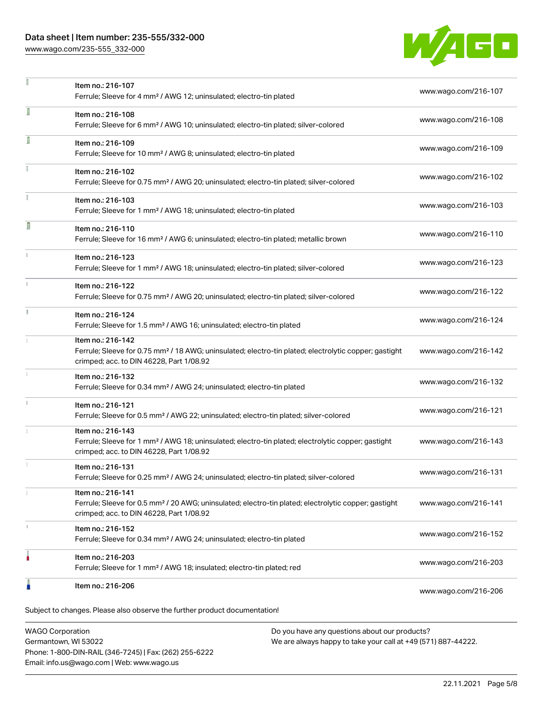### Data sheet | Item number: 235-555/332-000

[www.wago.com/235-555\\_332-000](http://www.wago.com/235-555_332-000)



|    | Item no.: 216-107<br>Ferrule; Sleeve for 4 mm <sup>2</sup> / AWG 12; uninsulated; electro-tin plated                                                                               | www.wago.com/216-107 |
|----|------------------------------------------------------------------------------------------------------------------------------------------------------------------------------------|----------------------|
| ī  | Item no.: 216-108<br>Ferrule; Sleeve for 6 mm <sup>2</sup> / AWG 10; uninsulated; electro-tin plated; silver-colored                                                               | www.wago.com/216-108 |
| Ī  | Item no.: 216-109<br>Ferrule; Sleeve for 10 mm <sup>2</sup> / AWG 8; uninsulated; electro-tin plated                                                                               | www.wago.com/216-109 |
|    | Item no.: 216-102<br>Ferrule; Sleeve for 0.75 mm <sup>2</sup> / AWG 20; uninsulated; electro-tin plated; silver-colored                                                            | www.wago.com/216-102 |
|    | Item no.: 216-103<br>Ferrule; Sleeve for 1 mm <sup>2</sup> / AWG 18; uninsulated; electro-tin plated                                                                               | www.wago.com/216-103 |
| Π  | Item no.: 216-110<br>Ferrule; Sleeve for 16 mm <sup>2</sup> / AWG 6; uninsulated; electro-tin plated; metallic brown                                                               | www.wago.com/216-110 |
|    | Item no.: 216-123<br>Ferrule; Sleeve for 1 mm <sup>2</sup> / AWG 18; uninsulated; electro-tin plated; silver-colored                                                               | www.wago.com/216-123 |
| ž. | Item no.: 216-122<br>Ferrule; Sleeve for 0.75 mm <sup>2</sup> / AWG 20; uninsulated; electro-tin plated; silver-colored                                                            | www.wago.com/216-122 |
| B  | Item no.: 216-124<br>Ferrule; Sleeve for 1.5 mm <sup>2</sup> / AWG 16; uninsulated; electro-tin plated                                                                             | www.wago.com/216-124 |
|    | Item no.: 216-142<br>Ferrule; Sleeve for 0.75 mm <sup>2</sup> / 18 AWG; uninsulated; electro-tin plated; electrolytic copper; gastight<br>crimped; acc. to DIN 46228, Part 1/08.92 | www.wago.com/216-142 |
|    | Item no.: 216-132<br>Ferrule; Sleeve for 0.34 mm <sup>2</sup> / AWG 24; uninsulated; electro-tin plated                                                                            | www.wago.com/216-132 |
|    | Item no.: 216-121<br>Ferrule; Sleeve for 0.5 mm <sup>2</sup> / AWG 22; uninsulated; electro-tin plated; silver-colored                                                             | www.wago.com/216-121 |
|    | Item no.: 216-143<br>Ferrule; Sleeve for 1 mm <sup>2</sup> / AWG 18; uninsulated; electro-tin plated; electrolytic copper; gastight<br>crimped; acc. to DIN 46228, Part 1/08.92    | www.wago.com/216-143 |
|    | Item no.: 216-131<br>Ferrule; Sleeve for 0.25 mm <sup>2</sup> / AWG 24; uninsulated; electro-tin plated; silver-colored                                                            | www.wago.com/216-131 |
|    | Item no.: 216-141<br>Ferrule; Sleeve for 0.5 mm <sup>2</sup> / 20 AWG; uninsulated; electro-tin plated; electrolytic copper; gastight<br>crimped; acc. to DIN 46228, Part 1/08.92  | www.wago.com/216-141 |
|    | Item no.: 216-152<br>Ferrule; Sleeve for 0.34 mm <sup>2</sup> / AWG 24; uninsulated; electro-tin plated                                                                            | www.wago.com/216-152 |
|    | Item no.: 216-203<br>Ferrule; Sleeve for 1 mm <sup>2</sup> / AWG 18; insulated; electro-tin plated; red                                                                            | www.wago.com/216-203 |
|    | Item no.: 216-206                                                                                                                                                                  | www.wago.com/216-206 |

WAGO Corporation Germantown, WI 53022 Phone: 1-800-DIN-RAIL (346-7245) | Fax: (262) 255-6222 Email: info.us@wago.com | Web: www.wago.us

Do you have any questions about our products? We are always happy to take your call at +49 (571) 887-44222.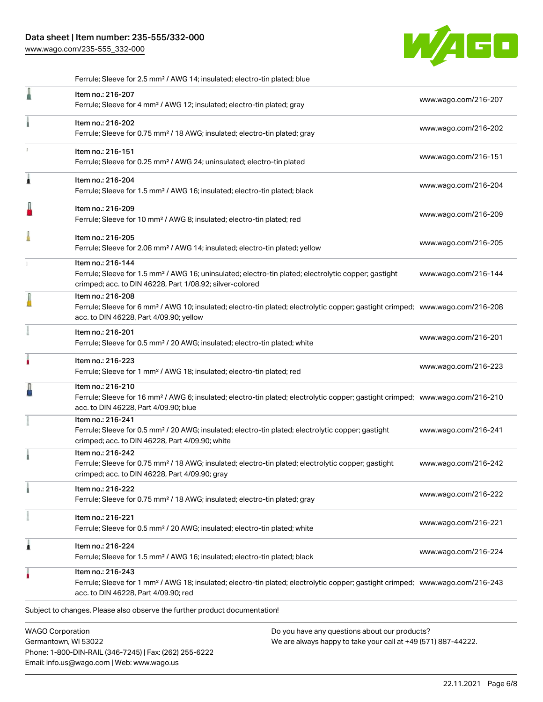[www.wago.com/235-555\\_332-000](http://www.wago.com/235-555_332-000)



|   | Ferrule; Sleeve for 2.5 mm <sup>2</sup> / AWG 14; insulated; electro-tin plated; blue                                                                                                                      |                      |
|---|------------------------------------------------------------------------------------------------------------------------------------------------------------------------------------------------------------|----------------------|
|   | Item no.: 216-207<br>Ferrule; Sleeve for 4 mm <sup>2</sup> / AWG 12; insulated; electro-tin plated; gray                                                                                                   | www.wago.com/216-207 |
|   | Item no.: 216-202<br>Ferrule; Sleeve for 0.75 mm <sup>2</sup> / 18 AWG; insulated; electro-tin plated; gray                                                                                                | www.wago.com/216-202 |
|   | Item no.: 216-151<br>Ferrule; Sleeve for 0.25 mm <sup>2</sup> / AWG 24; uninsulated; electro-tin plated                                                                                                    | www.wago.com/216-151 |
| Â | Item no.: 216-204<br>Ferrule; Sleeve for 1.5 mm <sup>2</sup> / AWG 16; insulated; electro-tin plated; black                                                                                                | www.wago.com/216-204 |
| I | Item no.: 216-209<br>Ferrule; Sleeve for 10 mm <sup>2</sup> / AWG 8; insulated; electro-tin plated; red                                                                                                    | www.wago.com/216-209 |
|   | Item no.: 216-205<br>Ferrule; Sleeve for 2.08 mm <sup>2</sup> / AWG 14; insulated; electro-tin plated; yellow                                                                                              | www.wago.com/216-205 |
|   | Item no.: 216-144<br>Ferrule; Sleeve for 1.5 mm <sup>2</sup> / AWG 16; uninsulated; electro-tin plated; electrolytic copper; gastight<br>crimped; acc. to DIN 46228, Part 1/08.92; silver-colored          | www.wago.com/216-144 |
|   | Item no.: 216-208<br>Ferrule; Sleeve for 6 mm <sup>2</sup> / AWG 10; insulated; electro-tin plated; electrolytic copper; gastight crimped; www.wago.com/216-208<br>acc. to DIN 46228, Part 4/09.90; yellow |                      |
|   | Item no.: 216-201<br>Ferrule; Sleeve for 0.5 mm <sup>2</sup> / 20 AWG; insulated; electro-tin plated; white                                                                                                | www.wago.com/216-201 |
| ۸ | Item no.: 216-223<br>Ferrule; Sleeve for 1 mm <sup>2</sup> / AWG 18; insulated; electro-tin plated; red                                                                                                    | www.wago.com/216-223 |
|   | Item no.: 216-210<br>Ferrule; Sleeve for 16 mm <sup>2</sup> / AWG 6; insulated; electro-tin plated; electrolytic copper; gastight crimped; www.wago.com/216-210<br>acc. to DIN 46228, Part 4/09.90; blue   |                      |
|   | Item no.: 216-241<br>Ferrule; Sleeve for 0.5 mm <sup>2</sup> / 20 AWG; insulated; electro-tin plated; electrolytic copper; gastight<br>crimped; acc. to DIN 46228, Part 4/09.90; white                     | www.wago.com/216-241 |
|   | Item no.: 216-242<br>Ferrule; Sleeve for 0.75 mm <sup>2</sup> / 18 AWG; insulated; electro-tin plated; electrolytic copper; gastight<br>crimped; acc. to DIN 46228, Part 4/09.90; gray                     | www.wago.com/216-242 |
|   | Item no.: 216-222<br>Ferrule; Sleeve for 0.75 mm <sup>2</sup> / 18 AWG; insulated; electro-tin plated; gray                                                                                                | www.wago.com/216-222 |
|   | Item no.: 216-221<br>Ferrule; Sleeve for 0.5 mm <sup>2</sup> / 20 AWG; insulated; electro-tin plated; white                                                                                                | www.wago.com/216-221 |
| 1 | Item no.: 216-224<br>Ferrule; Sleeve for 1.5 mm <sup>2</sup> / AWG 16; insulated; electro-tin plated; black                                                                                                | www.wago.com/216-224 |
|   | Item no.: 216-243<br>Ferrule; Sleeve for 1 mm <sup>2</sup> / AWG 18; insulated; electro-tin plated; electrolytic copper; gastight crimped; www.wago.com/216-243<br>acc. to DIN 46228, Part 4/09.90; red    |                      |
|   | Subject to changes. Please also observe the further product documentation!                                                                                                                                 |                      |
|   | <b>WAGO Corporation</b><br>Do you have any questions about our products?                                                                                                                                   |                      |

Germantown, WI 53022 Phone: 1-800-DIN-RAIL (346-7245) | Fax: (262) 255-6222 Email: info.us@wago.com | Web: www.wago.us

Do you have any questions about our products? We are always happy to take your call at +49 (571) 887-44222.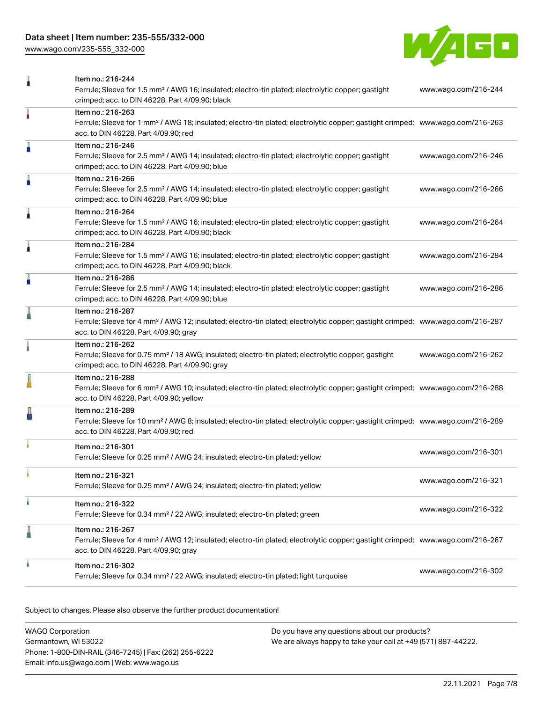# Data sheet | Item number: 235-555/332-000

[www.wago.com/235-555\\_332-000](http://www.wago.com/235-555_332-000)



| 1 | Item no.: 216-244<br>Ferrule; Sleeve for 1.5 mm <sup>2</sup> / AWG 16; insulated; electro-tin plated; electrolytic copper; gastight<br>crimped; acc. to DIN 46228, Part 4/09.90; black                     | www.wago.com/216-244 |
|---|------------------------------------------------------------------------------------------------------------------------------------------------------------------------------------------------------------|----------------------|
|   | Item no.: 216-263<br>Ferrule; Sleeve for 1 mm <sup>2</sup> / AWG 18; insulated; electro-tin plated; electrolytic copper; gastight crimped; www.wago.com/216-263<br>acc. to DIN 46228, Part 4/09.90; red    |                      |
| I | Item no.: 216-246<br>Ferrule; Sleeve for 2.5 mm <sup>2</sup> / AWG 14; insulated; electro-tin plated; electrolytic copper; gastight<br>crimped; acc. to DIN 46228, Part 4/09.90; blue                      | www.wago.com/216-246 |
| I | Item no.: 216-266<br>Ferrule; Sleeve for 2.5 mm <sup>2</sup> / AWG 14; insulated; electro-tin plated; electrolytic copper; gastight<br>crimped; acc. to DIN 46228, Part 4/09.90; blue                      | www.wago.com/216-266 |
| Â | Item no.: 216-264<br>Ferrule; Sleeve for 1.5 mm <sup>2</sup> / AWG 16; insulated; electro-tin plated; electrolytic copper; gastight<br>crimped; acc. to DIN 46228, Part 4/09.90; black                     | www.wago.com/216-264 |
| Â | Item no.: 216-284<br>Ferrule; Sleeve for 1.5 mm <sup>2</sup> / AWG 16; insulated; electro-tin plated; electrolytic copper; gastight<br>crimped; acc. to DIN 46228, Part 4/09.90; black                     | www.wago.com/216-284 |
| A | Item no.: 216-286<br>Ferrule; Sleeve for 2.5 mm <sup>2</sup> / AWG 14; insulated; electro-tin plated; electrolytic copper; gastight<br>crimped; acc. to DIN 46228, Part 4/09.90; blue                      | www.wago.com/216-286 |
| ä | Item no.: 216-287<br>Ferrule; Sleeve for 4 mm <sup>2</sup> / AWG 12; insulated; electro-tin plated; electrolytic copper; gastight crimped; www.wago.com/216-287<br>acc. to DIN 46228, Part 4/09.90; gray   |                      |
|   | Item no.: 216-262<br>Ferrule; Sleeve for 0.75 mm <sup>2</sup> / 18 AWG; insulated; electro-tin plated; electrolytic copper; gastight<br>crimped; acc. to DIN 46228, Part 4/09.90; gray                     | www.wago.com/216-262 |
|   | Item no.: 216-288<br>Ferrule; Sleeve for 6 mm <sup>2</sup> / AWG 10; insulated; electro-tin plated; electrolytic copper; gastight crimped; www.wago.com/216-288<br>acc. to DIN 46228, Part 4/09.90; yellow |                      |
|   | Item no.: 216-289<br>Ferrule; Sleeve for 10 mm <sup>2</sup> / AWG 8; insulated; electro-tin plated; electrolytic copper; gastight crimped; www.wago.com/216-289<br>acc. to DIN 46228, Part 4/09.90; red    |                      |
|   | Item no.: 216-301<br>Ferrule; Sleeve for 0.25 mm <sup>2</sup> / AWG 24; insulated; electro-tin plated; yellow                                                                                              | www.wago.com/216-301 |
|   | Item no.: 216-321<br>Ferrule; Sleeve for 0.25 mm <sup>2</sup> / AWG 24; insulated; electro-tin plated; yellow                                                                                              | www.wago.com/216-321 |
| ۸ | Item no.: 216-322<br>Ferrule; Sleeve for 0.34 mm <sup>2</sup> / 22 AWG; insulated; electro-tin plated; green                                                                                               | www.wago.com/216-322 |
| ä | Item no.: 216-267<br>Ferrule; Sleeve for 4 mm <sup>2</sup> / AWG 12; insulated; electro-tin plated; electrolytic copper; gastight crimped; www.wago.com/216-267<br>acc. to DIN 46228, Part 4/09.90; gray   |                      |
|   | Item no.: 216-302<br>Ferrule; Sleeve for 0.34 mm <sup>2</sup> / 22 AWG; insulated; electro-tin plated; light turquoise                                                                                     | www.wago.com/216-302 |

Subject to changes. Please also observe the further product documentation!

| WAGO Corporation                                       | Do you have any questions about our products?                 |
|--------------------------------------------------------|---------------------------------------------------------------|
| Germantown, WI 53022                                   | We are always happy to take your call at +49 (571) 887-44222. |
| Phone: 1-800-DIN-RAIL (346-7245)   Fax: (262) 255-6222 |                                                               |
| Email: info.us@wago.com   Web: www.wago.us             |                                                               |